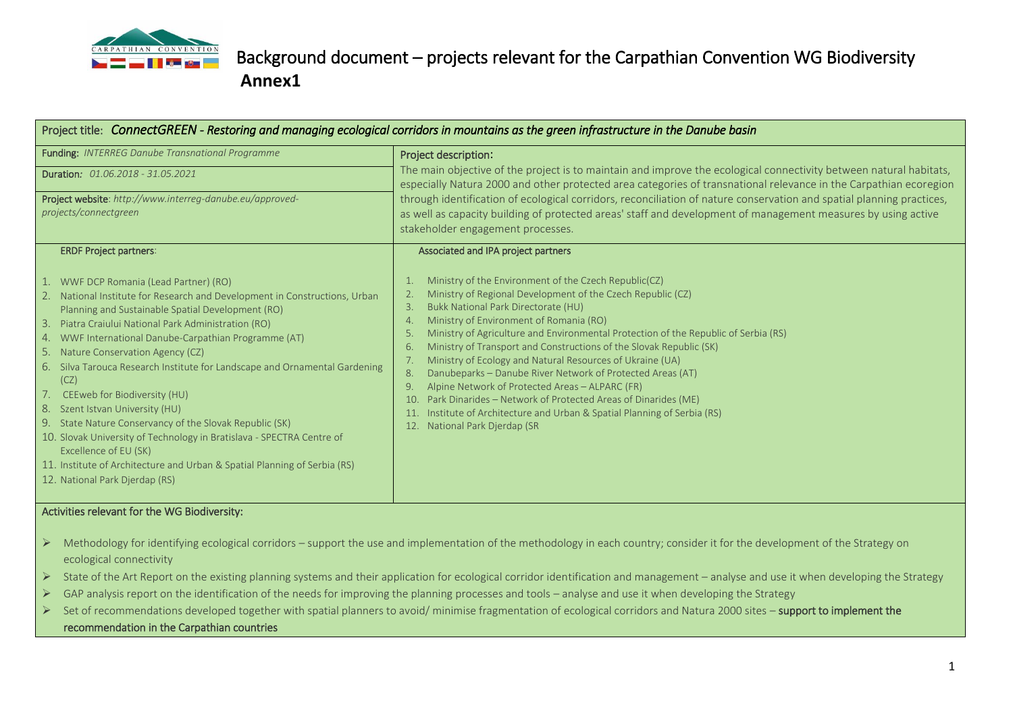

# Background document – projects relevant for the Carpathian Convention WG Biodiversity  **Annex1**

| Project title: ConnectGREEN - Restoring and managing ecological corridors in mountains as the green infrastructure in the Danube basin                                                                                                                                                                                                                                                                                                                                                                                                                                                                                                                                                                                                                                                                       |                                                                                                                                                                                                                                                                                                                                                                                                                                                                                                                                                                                                                                                                                                                                                                                                                    |  |
|--------------------------------------------------------------------------------------------------------------------------------------------------------------------------------------------------------------------------------------------------------------------------------------------------------------------------------------------------------------------------------------------------------------------------------------------------------------------------------------------------------------------------------------------------------------------------------------------------------------------------------------------------------------------------------------------------------------------------------------------------------------------------------------------------------------|--------------------------------------------------------------------------------------------------------------------------------------------------------------------------------------------------------------------------------------------------------------------------------------------------------------------------------------------------------------------------------------------------------------------------------------------------------------------------------------------------------------------------------------------------------------------------------------------------------------------------------------------------------------------------------------------------------------------------------------------------------------------------------------------------------------------|--|
| <b>Funding: INTERREG Danube Transnational Programme</b><br>Duration: 01.06.2018 - 31.05.2021<br>Project website: http://www.interreq-danube.eu/approved-<br>projects/connectgreen                                                                                                                                                                                                                                                                                                                                                                                                                                                                                                                                                                                                                            | Project description:<br>The main objective of the project is to maintain and improve the ecological connectivity between natural habitats,<br>especially Natura 2000 and other protected area categories of transnational relevance in the Carpathian ecoregion<br>through identification of ecological corridors, reconciliation of nature conservation and spatial planning practices,<br>as well as capacity building of protected areas' staff and development of management measures by using active<br>stakeholder engagement processes.                                                                                                                                                                                                                                                                     |  |
| <b>ERDF Project partners:</b><br>1. WWF DCP Romania (Lead Partner) (RO)<br>2. National Institute for Research and Development in Constructions, Urban<br>Planning and Sustainable Spatial Development (RO)<br>3.<br>Piatra Craiului National Park Administration (RO)<br>4. WWF International Danube-Carpathian Programme (AT)<br>5. Nature Conservation Agency (CZ)<br>6. Silva Tarouca Research Institute for Landscape and Ornamental Gardening<br>(CZ)<br>7. CEEweb for Biodiversity (HU)<br>8. Szent Istvan University (HU)<br>9. State Nature Conservancy of the Slovak Republic (SK)<br>10. Slovak University of Technology in Bratislava - SPECTRA Centre of<br>Excellence of EU (SK)<br>11. Institute of Architecture and Urban & Spatial Planning of Serbia (RS)<br>12. National Park Djerdap (RS) | Associated and IPA project partners<br>Ministry of the Environment of the Czech Republic(CZ)<br>Ministry of Regional Development of the Czech Republic (CZ)<br>Bukk National Park Directorate (HU)<br>3.<br>Ministry of Environment of Romania (RO)<br>Ministry of Agriculture and Environmental Protection of the Republic of Serbia (RS)<br>5.<br>Ministry of Transport and Constructions of the Slovak Republic (SK)<br>6.<br>Ministry of Ecology and Natural Resources of Ukraine (UA)<br>7.<br>Danubeparks - Danube River Network of Protected Areas (AT)<br>8.<br>Alpine Network of Protected Areas - ALPARC (FR)<br>9.<br>Park Dinarides - Network of Protected Areas of Dinarides (ME)<br>10.<br>Institute of Architecture and Urban & Spatial Planning of Serbia (RS)<br>National Park Djerdap (SR<br>12. |  |

#### Activities relevant for the WG Biodiversity:

- ➢ Methodology for identifying ecological corridors support the use and implementation of the methodology in each country; consider it for the development of the Strategy on ecological connectivity
- ➢ State of the Art Report on the existing planning systems and their application for ecological corridor identification and management analyse and use it when developing the Strategy
- ➢ GAP analysis report on the identification of the needs for improving the planning processes and tools analyse and use it when developing the Strategy
- ➢ Set of recommendations developed together with spatial planners to avoid/ minimise fragmentation of ecological corridors and Natura 2000 sites support to implement the recommendation in the Carpathian countries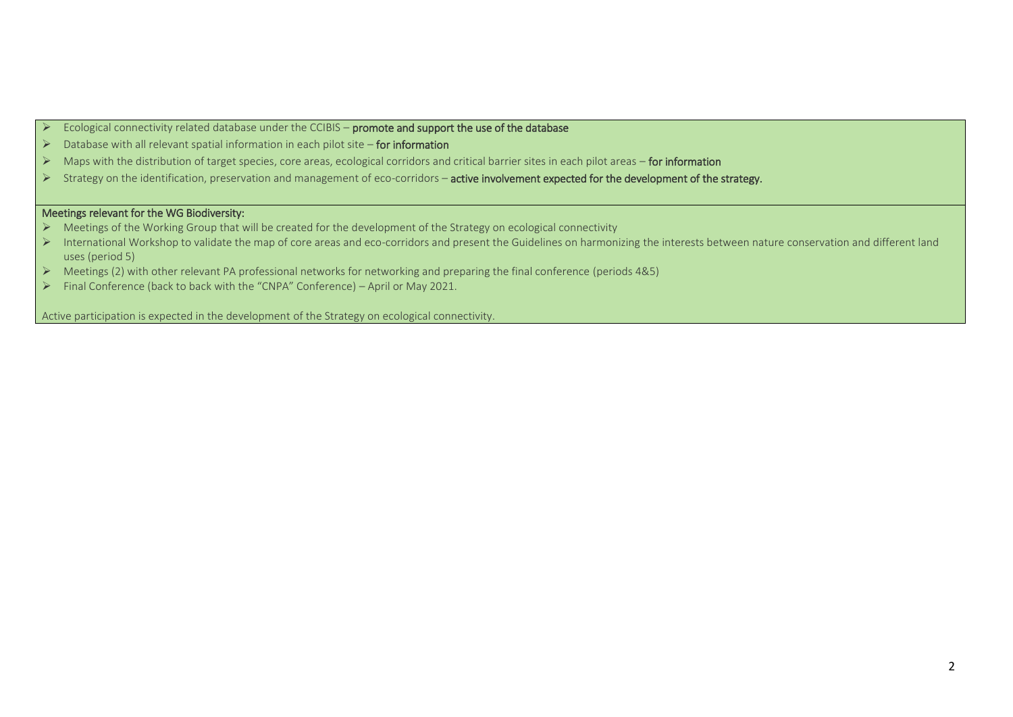- ➢ Ecological connectivity related database under the CCIBIS promote and support the use of the database
- ➢ Database with all relevant spatial information in each pilot site for information
- ➢ Maps with the distribution of target species, core areas, ecological corridors and critical barrier sites in each pilot areas for information
- ➢ Strategy on the identification, preservation and management of eco-corridors active involvement expected for the development of the strategy.

#### Meetings relevant for the WG Biodiversity:

- ➢ Meetings of the Working Group that will be created for the development of the Strategy on ecological connectivity
- ➢ International Workshop to validate the map of core areas and eco-corridors and present the Guidelines on harmonizing the interests between nature conservation and different land uses (period 5)
- ➢ Meetings (2) with other relevant PA professional networks for networking and preparing the final conference (periods 4&5)
- ➢ Final Conference (back to back with the "CNPA" Conference) April or May 2021.

Active participation is expected in the development of the Strategy on ecological connectivity.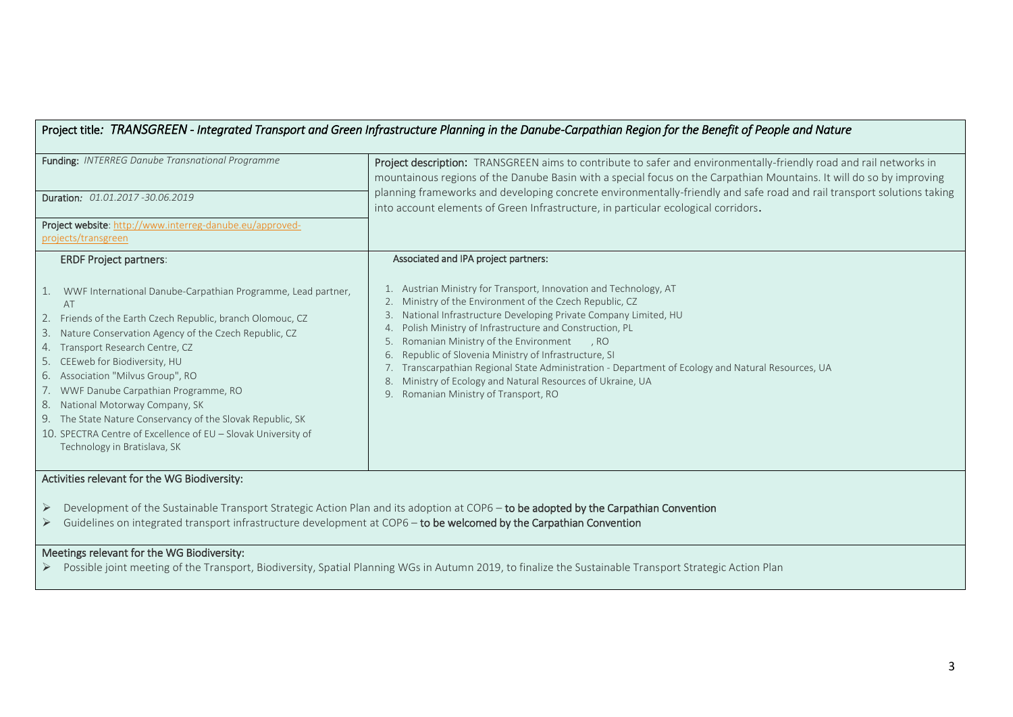## Project title*: TRANSGREEN - Integrated Transport and Green Infrastructure Planning in the Danube-Carpathian Region for the Benefit of People and Nature*

| Funding: INTERREG Danube Transnational Programme                                                                                                                                                                                                                                                                                                                                                                                                                                                                                                                | Project description: TRANSGREEN aims to contribute to safer and environmentally-friendly road and rail networks in<br>mountainous regions of the Danube Basin with a special focus on the Carpathian Mountains. It will do so by improving                                                                                                                                                                                                                                                                                                                                       |  |
|-----------------------------------------------------------------------------------------------------------------------------------------------------------------------------------------------------------------------------------------------------------------------------------------------------------------------------------------------------------------------------------------------------------------------------------------------------------------------------------------------------------------------------------------------------------------|----------------------------------------------------------------------------------------------------------------------------------------------------------------------------------------------------------------------------------------------------------------------------------------------------------------------------------------------------------------------------------------------------------------------------------------------------------------------------------------------------------------------------------------------------------------------------------|--|
| Duration: 01.01.2017-30.06.2019                                                                                                                                                                                                                                                                                                                                                                                                                                                                                                                                 | planning frameworks and developing concrete environmentally-friendly and safe road and rail transport solutions taking<br>into account elements of Green Infrastructure, in particular ecological corridors.                                                                                                                                                                                                                                                                                                                                                                     |  |
| Project website: http://www.interreg-danube.eu/approved-<br>projects/transgreen                                                                                                                                                                                                                                                                                                                                                                                                                                                                                 |                                                                                                                                                                                                                                                                                                                                                                                                                                                                                                                                                                                  |  |
| <b>ERDF Project partners:</b>                                                                                                                                                                                                                                                                                                                                                                                                                                                                                                                                   | Associated and IPA project partners:                                                                                                                                                                                                                                                                                                                                                                                                                                                                                                                                             |  |
| 1. WWF International Danube-Carpathian Programme, Lead partner,<br>AT<br>2. Friends of the Earth Czech Republic, branch Olomouc, CZ<br>3. Nature Conservation Agency of the Czech Republic, CZ<br>Transport Research Centre, CZ<br>4.<br>5. CEEweb for Biodiversity, HU<br>Association "Milvus Group", RO<br>6.<br>7. WWF Danube Carpathian Programme, RO<br>National Motorway Company, SK<br>8.<br>9. The State Nature Conservancy of the Slovak Republic, SK<br>10. SPECTRA Centre of Excellence of EU - Slovak University of<br>Technology in Bratislava, SK | Austrian Ministry for Transport, Innovation and Technology, AT<br>Ministry of the Environment of the Czech Republic, CZ<br>2.<br>National Infrastructure Developing Private Company Limited, HU<br>Polish Ministry of Infrastructure and Construction, PL<br>Romanian Ministry of the Environment<br>RO.<br>5.<br>Republic of Slovenia Ministry of Infrastructure, SI<br>6.<br>Transcarpathian Regional State Administration - Department of Ecology and Natural Resources, UA<br>Ministry of Ecology and Natural Resources of Ukraine, UA<br>Romanian Ministry of Transport, RO |  |
| Activities relevant for the WG Biodiversity:                                                                                                                                                                                                                                                                                                                                                                                                                                                                                                                    |                                                                                                                                                                                                                                                                                                                                                                                                                                                                                                                                                                                  |  |

- ➢ Development of the Sustainable Transport Strategic Action Plan and its adoption at COP6 to be adopted by the Carpathian Convention
- ➢ Guidelines on integrated transport infrastructure development at COP6 to be welcomed by the Carpathian Convention

#### Meetings relevant for the WG Biodiversity:

➢ Possible joint meeting of the Transport, Biodiversity, Spatial Planning WGs in Autumn 2019, to finalize the Sustainable Transport Strategic Action Plan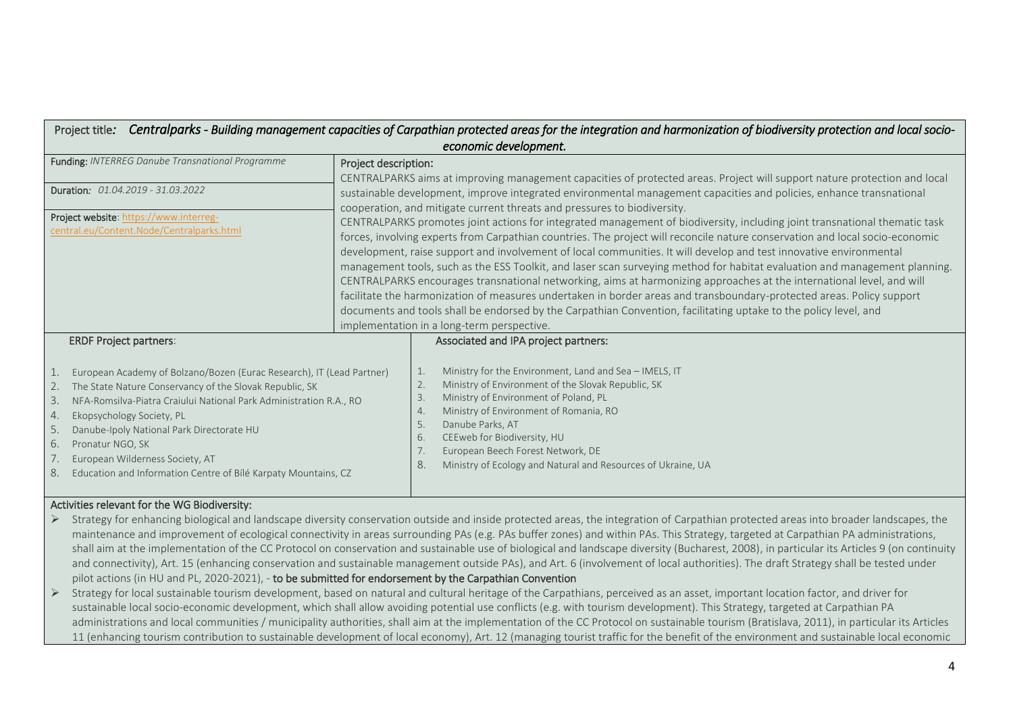| Centralparks - Building management capacities of Carpathian protected areas for the integration and harmonization of biodiversity protection and local socio-<br>Project title:                                                                                                                                                                                                                                                                                                      |                                                                                                                                                                                                                                                                                                                                                                                                                                                                                                                                                                                                                                                                                                                                                                                                                                                                                                                                    |  |  |  |
|--------------------------------------------------------------------------------------------------------------------------------------------------------------------------------------------------------------------------------------------------------------------------------------------------------------------------------------------------------------------------------------------------------------------------------------------------------------------------------------|------------------------------------------------------------------------------------------------------------------------------------------------------------------------------------------------------------------------------------------------------------------------------------------------------------------------------------------------------------------------------------------------------------------------------------------------------------------------------------------------------------------------------------------------------------------------------------------------------------------------------------------------------------------------------------------------------------------------------------------------------------------------------------------------------------------------------------------------------------------------------------------------------------------------------------|--|--|--|
| economic development.                                                                                                                                                                                                                                                                                                                                                                                                                                                                |                                                                                                                                                                                                                                                                                                                                                                                                                                                                                                                                                                                                                                                                                                                                                                                                                                                                                                                                    |  |  |  |
| Funding: INTERREG Danube Transnational Programme                                                                                                                                                                                                                                                                                                                                                                                                                                     | Project description:<br>CENTRALPARKS aims at improving management capacities of protected areas. Project will support nature protection and local                                                                                                                                                                                                                                                                                                                                                                                                                                                                                                                                                                                                                                                                                                                                                                                  |  |  |  |
| Duration: 01.04.2019 - 31.03.2022                                                                                                                                                                                                                                                                                                                                                                                                                                                    | sustainable development, improve integrated environmental management capacities and policies, enhance transnational<br>cooperation, and mitigate current threats and pressures to biodiversity.                                                                                                                                                                                                                                                                                                                                                                                                                                                                                                                                                                                                                                                                                                                                    |  |  |  |
| Project website: https://www.interreg-<br>central.eu/Content.Node/Centralparks.html                                                                                                                                                                                                                                                                                                                                                                                                  | CENTRALPARKS promotes joint actions for integrated management of biodiversity, including joint transnational thematic task<br>forces, involving experts from Carpathian countries. The project will reconcile nature conservation and local socio-economic<br>development, raise support and involvement of local communities. It will develop and test innovative environmental<br>management tools, such as the ESS Toolkit, and laser scan surveying method for habitat evaluation and management planning.<br>CENTRALPARKS encourages transnational networking, aims at harmonizing approaches at the international level, and will<br>facilitate the harmonization of measures undertaken in border areas and transboundary-protected areas. Policy support<br>documents and tools shall be endorsed by the Carpathian Convention, facilitating uptake to the policy level, and<br>implementation in a long-term perspective. |  |  |  |
| <b>ERDF Project partners:</b><br>European Academy of Bolzano/Bozen (Eurac Research), IT (Lead Partner)<br>1.<br>The State Nature Conservancy of the Slovak Republic, SK<br>2.<br>NFA-Romsilva-Piatra Craiului National Park Administration R.A., RO<br>3.<br>Ekopsychology Society, PL<br>4.<br>Danube-Ipoly National Park Directorate HU<br>5.<br>Pronatur NGO, SK<br>6.<br>European Wilderness Society, AT<br>8.<br>Education and Information Centre of Bílé Karpaty Mountains, CZ | Associated and IPA project partners:<br>Ministry for the Environment, Land and Sea - IMELS, IT<br>1.<br>Ministry of Environment of the Slovak Republic, SK<br>2.<br>Ministry of Environment of Poland, PL<br>3.<br>Ministry of Environment of Romania, RO<br>4.<br>Danube Parks, AT<br>5.<br>CEEweb for Biodiversity, HU<br>6.<br>European Beech Forest Network, DE<br>7.<br>8.<br>Ministry of Ecology and Natural and Resources of Ukraine, UA                                                                                                                                                                                                                                                                                                                                                                                                                                                                                    |  |  |  |

#### Activities relevant for the WG Biodiversity:

- ➢ Strategy for enhancing biological and landscape diversity conservation outside and inside protected areas, the integration of Carpathian protected areas into broader landscapes, the maintenance and improvement of ecological connectivity in areas surrounding PAs (e.g. PAs buffer zones) and within PAs. This Strategy, targeted at Carpathian PA administrations, shall aim at the implementation of the CC Protocol on conservation and sustainable use of biological and landscape diversity (Bucharest, 2008), in particular its Articles 9 (on continuity and connectivity), Art. 15 (enhancing conservation and sustainable management outside PAs), and Art. 6 (involvement of local authorities). The draft Strategy shall be tested under pilot actions (in HU and PL, 2020-2021), - to be submitted for endorsement by the Carpathian Convention
- ➢ Strategy for local sustainable tourism development, based on natural and cultural heritage of the Carpathians, perceived as an asset, important location factor, and driver for sustainable local socio-economic development, which shall allow avoiding potential use conflicts (e.g. with tourism development). This Strategy, targeted at Carpathian PA administrations and local communities / municipality authorities, shall aim at the implementation of the CC Protocol on sustainable tourism (Bratislava, 2011), in particular its Articles 11 (enhancing tourism contribution to sustainable development of local economy), Art. 12 (managing tourist traffic for the benefit of the environment and sustainable local economic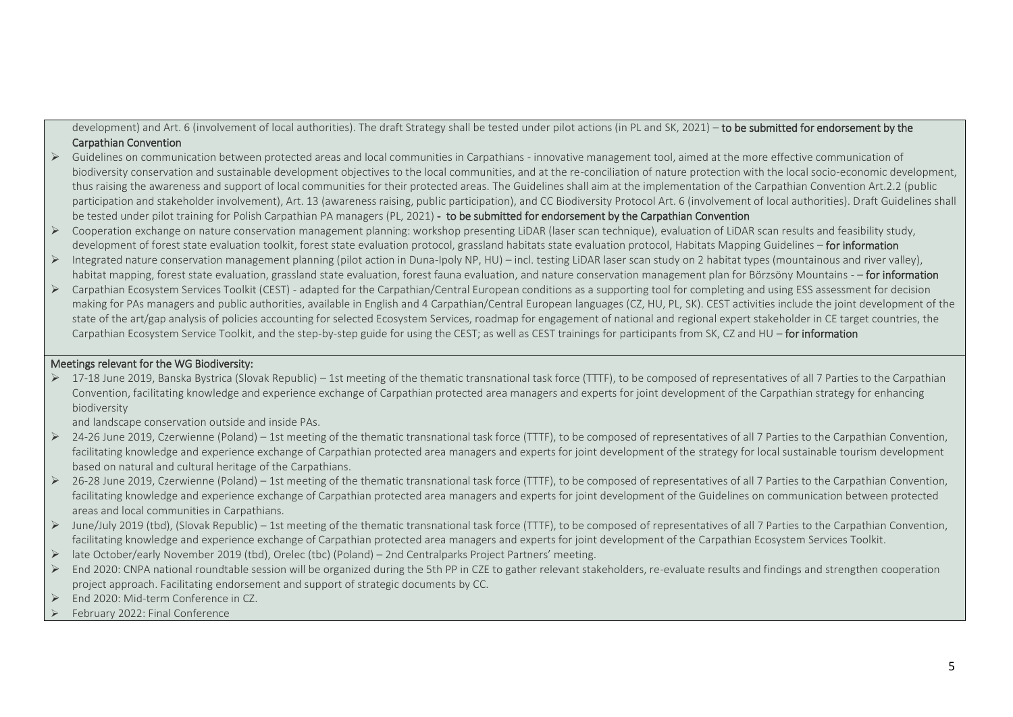development) and Art. 6 (involvement of local authorities). The draft Strategy shall be tested under pilot actions (in PL and SK, 2021) – to be submitted for endorsement by the Carpathian Convention

- ➢ Guidelines on communication between protected areas and local communities in Carpathians innovative management tool, aimed at the more effective communication of biodiversity conservation and sustainable development objectives to the local communities, and at the re-conciliation of nature protection with the local socio-economic development, thus raising the awareness and support of local communities for their protected areas. The Guidelines shall aim at the implementation of the Carpathian Convention Art.2.2 (public participation and stakeholder involvement), Art. 13 (awareness raising, public participation), and CC Biodiversity Protocol Art. 6 (involvement of local authorities). Draft Guidelines shall be tested under pilot training for Polish Carpathian PA managers (PL, 2021) - to be submitted for endorsement by the Carpathian Convention
- $\triangleright$  Cooperation exchange on nature conservation management planning: workshop presenting LiDAR (laser scan technique), evaluation of LiDAR scan results and feasibility study, development of forest state evaluation toolkit, forest state evaluation protocol, grassland habitats state evaluation protocol, Habitats Mapping Guidelines - for information
- $\triangleright$  Integrated nature conservation management planning (pilot action in Duna-Ipoly NP, HU) incl. testing LiDAR laser scan study on 2 habitat types (mountainous and river valley), habitat mapping, forest state evaluation, grassland state evaluation, forest fauna evaluation, and nature conservation management plan for Börzsöny Mountains - - for information
- ➢ Carpathian Ecosystem Services Toolkit (CEST) adapted for the Carpathian/Central European conditions as a supporting tool for completing and using ESS assessment for decision making for PAs managers and public authorities, available in English and 4 Carpathian/Central European languages (CZ, HU, PL, SK). CEST activities include the joint development of the state of the art/gap analysis of policies accounting for selected Ecosystem Services, roadmap for engagement of national and regional expert stakeholder in CE target countries, the Carpathian Ecosystem Service Toolkit, and the step-by-step guide for using the CEST; as well as CEST trainings for participants from SK, CZ and HU – for information

#### Meetings relevant for the WG Biodiversity:

➢ 17-18 June 2019, Banska Bystrica (Slovak Republic) – 1st meeting of the thematic transnational task force (TTTF), to be composed of representatives of all 7 Parties to the Carpathian Convention, facilitating knowledge and experience exchange of Carpathian protected area managers and experts for joint development of the Carpathian strategy for enhancing biodiversity

and landscape conservation outside and inside PAs.

- $\geq$  24-26 June 2019, Czerwienne (Poland) 1st meeting of the thematic transnational task force (TTTF), to be composed of representatives of all 7 Parties to the Carpathian Convention, facilitating knowledge and experience exchange of Carpathian protected area managers and experts for joint development of the strategy for local sustainable tourism development based on natural and cultural heritage of the Carpathians.
- $\geq$  26-28 June 2019, Czerwienne (Poland) 1st meeting of the thematic transnational task force (TTTF), to be composed of representatives of all 7 Parties to the Carpathian Convention, facilitating knowledge and experience exchange of Carpathian protected area managers and experts for joint development of the Guidelines on communication between protected areas and local communities in Carpathians.
- ➢ June/July 2019 (tbd), (Slovak Republic) 1st meeting of the thematic transnational task force (TTTF), to be composed of representatives of all 7 Parties to the Carpathian Convention, facilitating knowledge and experience exchange of Carpathian protected area managers and experts for joint development of the Carpathian Ecosystem Services Toolkit.
- ➢ late October/early November 2019 (tbd), Orelec (tbc) (Poland) 2nd Centralparks Project Partners' meeting.
- End 2020: CNPA national roundtable session will be organized during the 5th PP in CZE to gather relevant stakeholders, re-evaluate results and findings and strengthen cooperation project approach. Facilitating endorsement and support of strategic documents by CC.
- ➢ End 2020: Mid-term Conference in CZ.
- ➢ February 2022: Final Conference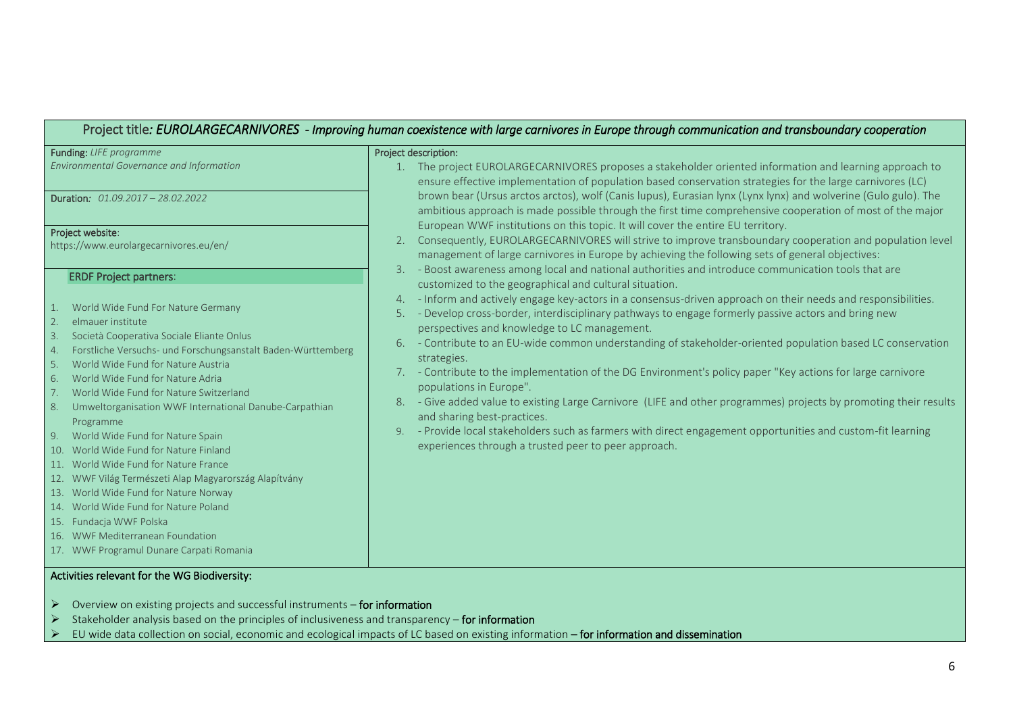## Project title*: EUROLARGECARNIVORES - Improving human coexistence with large carnivores in Europe through communication and transboundary cooperation*

| Funding: LIFE programme                                                                                                                                                                                                                                                                                                                                                                                                                                                                                                                                                                                                                                                                                                                                                                | Project description:                                                                                                                                                                                                                                                                                                                                                                                                                                                                                                                                                                                                                                                                                                                                                                                                                                                               |
|----------------------------------------------------------------------------------------------------------------------------------------------------------------------------------------------------------------------------------------------------------------------------------------------------------------------------------------------------------------------------------------------------------------------------------------------------------------------------------------------------------------------------------------------------------------------------------------------------------------------------------------------------------------------------------------------------------------------------------------------------------------------------------------|------------------------------------------------------------------------------------------------------------------------------------------------------------------------------------------------------------------------------------------------------------------------------------------------------------------------------------------------------------------------------------------------------------------------------------------------------------------------------------------------------------------------------------------------------------------------------------------------------------------------------------------------------------------------------------------------------------------------------------------------------------------------------------------------------------------------------------------------------------------------------------|
| Environmental Governance and Information                                                                                                                                                                                                                                                                                                                                                                                                                                                                                                                                                                                                                                                                                                                                               | The project EUROLARGECARNIVORES proposes a stakeholder oriented information and learning approach to<br>1.<br>ensure effective implementation of population based conservation strategies for the large carnivores (LC)                                                                                                                                                                                                                                                                                                                                                                                                                                                                                                                                                                                                                                                            |
| <b>Duration:</b> 01.09.2017 - 28.02.2022                                                                                                                                                                                                                                                                                                                                                                                                                                                                                                                                                                                                                                                                                                                                               | brown bear (Ursus arctos arctos), wolf (Canis lupus), Eurasian lynx (Lynx lynx) and wolverine (Gulo gulo). The<br>ambitious approach is made possible through the first time comprehensive cooperation of most of the major                                                                                                                                                                                                                                                                                                                                                                                                                                                                                                                                                                                                                                                        |
| Project website:                                                                                                                                                                                                                                                                                                                                                                                                                                                                                                                                                                                                                                                                                                                                                                       | European WWF institutions on this topic. It will cover the entire EU territory.<br>Consequently, EUROLARGECARNIVORES will strive to improve transboundary cooperation and population level                                                                                                                                                                                                                                                                                                                                                                                                                                                                                                                                                                                                                                                                                         |
| https://www.eurolargecarnivores.eu/en/                                                                                                                                                                                                                                                                                                                                                                                                                                                                                                                                                                                                                                                                                                                                                 | management of large carnivores in Europe by achieving the following sets of general objectives:                                                                                                                                                                                                                                                                                                                                                                                                                                                                                                                                                                                                                                                                                                                                                                                    |
| <b>ERDF Project partners:</b>                                                                                                                                                                                                                                                                                                                                                                                                                                                                                                                                                                                                                                                                                                                                                          | - Boost awareness among local and national authorities and introduce communication tools that are<br>3.<br>customized to the geographical and cultural situation.                                                                                                                                                                                                                                                                                                                                                                                                                                                                                                                                                                                                                                                                                                                  |
| World Wide Fund For Nature Germany<br>elmauer institute<br>2.<br>Società Cooperativa Sociale Eliante Onlus<br>3.<br>Forstliche Versuchs- und Forschungsanstalt Baden-Württemberg<br>4.<br>World Wide Fund for Nature Austria<br>5.<br>World Wide Fund for Nature Adria<br>6.<br>World Wide Fund for Nature Switzerland<br>Umweltorganisation WWF International Danube-Carpathian<br>8.<br>Programme<br>World Wide Fund for Nature Spain<br>9.<br>10. World Wide Fund for Nature Finland<br>11. World Wide Fund for Nature France<br>12. WWF Világ Természeti Alap Magyarország Alapítvány<br>13. World Wide Fund for Nature Norway<br>14. World Wide Fund for Nature Poland<br>15. Fundacja WWF Polska<br>16. WWF Mediterranean Foundation<br>17. WWF Programul Dunare Carpati Romania | - Inform and actively engage key-actors in a consensus-driven approach on their needs and responsibilities.<br>4.<br>- Develop cross-border, interdisciplinary pathways to engage formerly passive actors and bring new<br>5.<br>perspectives and knowledge to LC management.<br>- Contribute to an EU-wide common understanding of stakeholder-oriented population based LC conservation<br>6.<br>strategies.<br>- Contribute to the implementation of the DG Environment's policy paper "Key actions for large carnivore"<br>populations in Europe".<br>- Give added value to existing Large Carnivore (LIFE and other programmes) projects by promoting their results<br>and sharing best-practices.<br>- Provide local stakeholders such as farmers with direct engagement opportunities and custom-fit learning<br>9.<br>experiences through a trusted peer to peer approach. |

#### Activities relevant for the WG Biodiversity:

- ➢ Overview on existing projects and successful instruments for information
- ➢ Stakeholder analysis based on the principles of inclusiveness and transparency for information
- ➢ EU wide data collection on social, economic and ecological impacts of LC based on existing information for information and dissemination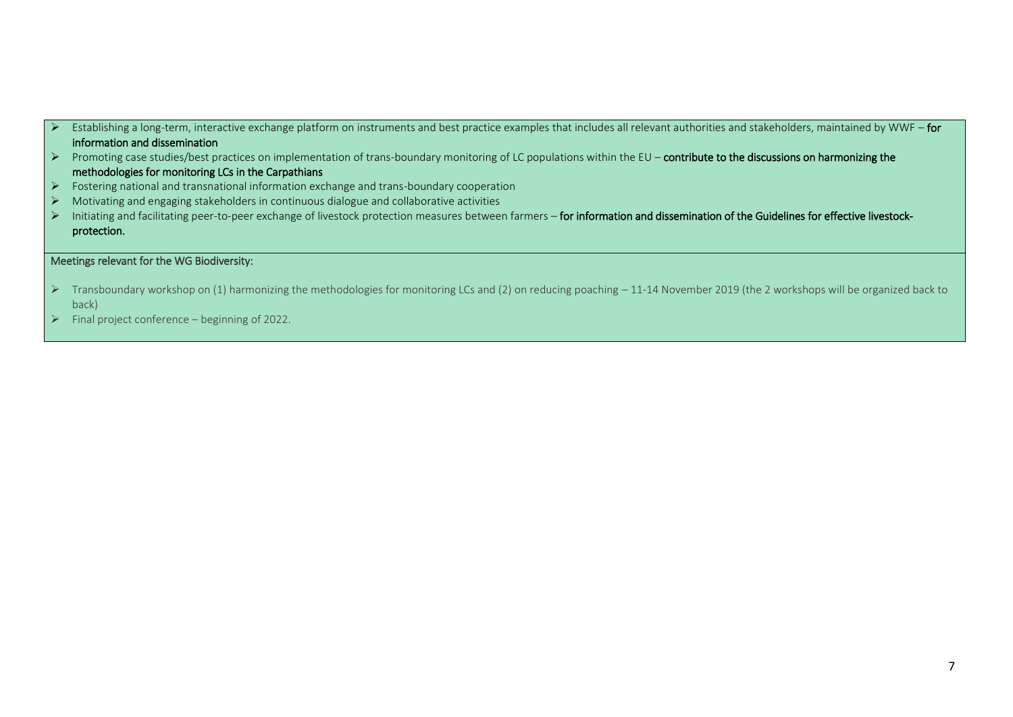- Establishing a long-term, interactive exchange platform on instruments and best practice examples that includes all relevant authorities and stakeholders, maintained by WWF for information and dissemination
- ➢ Promoting case studies/best practices on implementation of trans-boundary monitoring of LC populations within the EU contribute to the discussions on harmonizing the methodologies for monitoring LCs in the Carpathians
- ➢ Fostering national and transnational information exchange and trans-boundary cooperation
- ➢ Motivating and engaging stakeholders in continuous dialogue and collaborative activities
- Initiating and facilitating peer-to-peer exchange of livestock protection measures between farmers for information and dissemination of the Guidelines for effective livestockprotection.

### Meetings relevant for the WG Biodiversity:

- ➢ Transboundary workshop on (1) harmonizing the methodologies for monitoring LCs and (2) on reducing poaching 11-14 November 2019 (the 2 workshops will be organized back to back)
- $\triangleright$  Final project conference beginning of 2022.